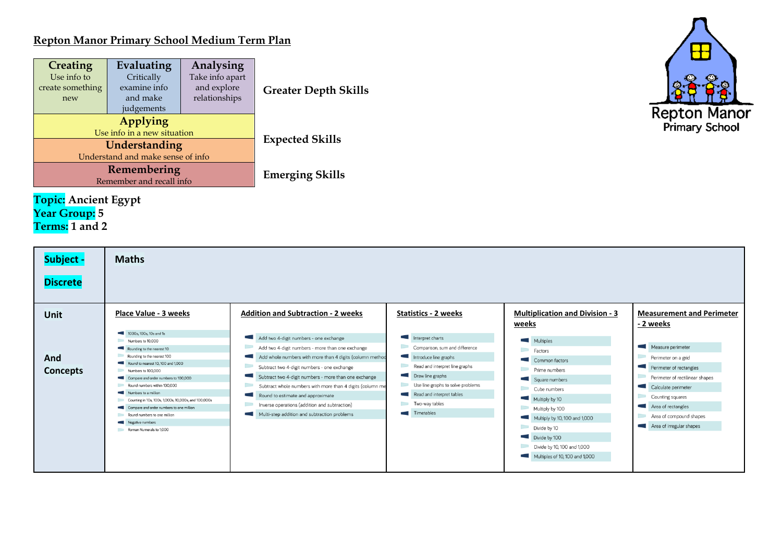## **Repton Manor Primary School Medium Term Plan**

| <b>Creating</b><br>Use info to<br>create something<br>new | Evaluating<br>Analysing<br>Take info apart<br>Critically<br>examine info<br>and explore<br>relationships<br>and make<br>judgements |                        | <b>Greater Depth Skills</b> |  |  |  |
|-----------------------------------------------------------|------------------------------------------------------------------------------------------------------------------------------------|------------------------|-----------------------------|--|--|--|
|                                                           | Applying<br>Use info in a new situation                                                                                            |                        |                             |  |  |  |
|                                                           | Understanding<br>Understand and make sense of info                                                                                 | <b>Expected Skills</b> |                             |  |  |  |
|                                                           | Remembering<br>Remember and recall info                                                                                            | <b>Emerging Skills</b> |                             |  |  |  |
|                                                           |                                                                                                                                    |                        |                             |  |  |  |

## **Topic: Ancient Egypt Year Group: 5 Terms: 1 and 2**



| Subject -<br><b>Discrete</b> | <b>Maths</b>                                                                                                                                                                                                                                                                                                                                                                                                                                             |                                                                                                                                                                                                                                                                                                                                                                                                                                                                                                                                                |                                                                                                                                                                                                                                                        |                                                                                                                                                                                                                                                                                     |                                                                                                                                                                                                                                                                                     |
|------------------------------|----------------------------------------------------------------------------------------------------------------------------------------------------------------------------------------------------------------------------------------------------------------------------------------------------------------------------------------------------------------------------------------------------------------------------------------------------------|------------------------------------------------------------------------------------------------------------------------------------------------------------------------------------------------------------------------------------------------------------------------------------------------------------------------------------------------------------------------------------------------------------------------------------------------------------------------------------------------------------------------------------------------|--------------------------------------------------------------------------------------------------------------------------------------------------------------------------------------------------------------------------------------------------------|-------------------------------------------------------------------------------------------------------------------------------------------------------------------------------------------------------------------------------------------------------------------------------------|-------------------------------------------------------------------------------------------------------------------------------------------------------------------------------------------------------------------------------------------------------------------------------------|
| <b>Unit</b>                  | Place Value - 3 weeks                                                                                                                                                                                                                                                                                                                                                                                                                                    | <b>Addition and Subtraction - 2 weeks</b>                                                                                                                                                                                                                                                                                                                                                                                                                                                                                                      | <b>Statistics - 2 weeks</b>                                                                                                                                                                                                                            | <b>Multiplication and Division - 3</b><br>weeks                                                                                                                                                                                                                                     | <b>Measurement and Perimeter</b><br>- 2 weeks                                                                                                                                                                                                                                       |
| And<br><b>Concepts</b>       | 1000s, 100s, 10s and 1s<br>Numbers to 10,000<br>Rounding to the nearest 10<br>Rounding to the nearest 100<br>Round to nearest 10, 100 and 1,000<br>Numbers to 100,000<br>Compare and order numbers to 100,000<br>Round numbers within 100,000<br>Numbers to a million<br>Counting in 10s, 100s, 1,000s, 10,000s, and 100,000s<br>Compare and order numbers to one million<br>Round numbers to one million<br>Negative numbers<br>Roman Numerals to 1,000 | Add two 4-digit numbers - one exchange<br>Add two 4-digit numbers - more than one exchange<br>$\sim$<br>Add whole numbers with more than 4 digits (column method<br>$\Box$<br>Subtract two 4-digit numbers - one exchange<br>$\mathcal{L}$<br>Subtract two 4-digit numbers - more than one exchange<br><b>Contract</b><br>Subtract whole numbers with more than 4 digits (column me<br>Round to estimate and approximate<br>Inverse operations (addition and subtraction)<br><b>CONTRACTOR</b><br>Multi-step addition and subtraction problems | Interpret charts<br>Comparison, sum and difference<br>Introduce line graphs<br>Read and interpret line graphs<br>Draw line graphs<br>Use line graphs to solve problems<br>Read and interpret tables<br>Two-way tables<br><b>Contract</b><br>Timetables | Multiples<br>Factors<br><b>COLLEGE</b><br>Common factors<br>Prime numbers<br>Square numbers<br>Cube numbers<br>Multiply by 10<br>Multiply by 100<br>Multiply by 10, 100 and 1,000<br>Divide by 10<br>Divide by 100<br>Divide by 10, 100 and 1,000<br>Multiples of 10, 100 and 1,000 | <b>College</b><br>Measure perimeter<br>Perimeter on a grid<br>Perimeter of rectangles<br><b>COLLA</b><br>Perimeter of rectilinear shapes<br>Calculate perimeter<br><b>Contract</b><br>Counting squares<br>Area of rectangles<br>Area of compound shapes<br>Area of irregular shapes |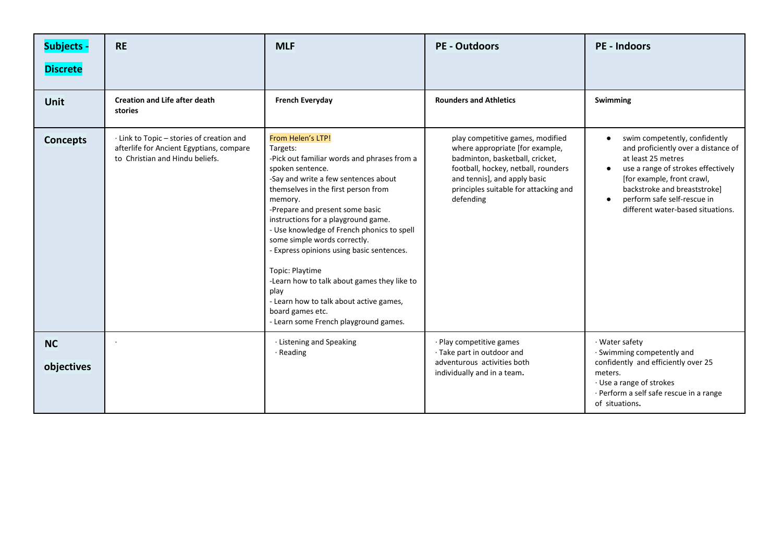| <b>Subjects -</b>       | <b>RE</b>                                                                                                                | <b>MLF</b>                                                                                                                                                                                                                                                                                                                                                                                                                                                                                                                                                                        | <b>PE - Outdoors</b>                                                                                                                                                                                                                | <b>PE - Indoors</b>                                                                                                                                                                                                                                                                          |
|-------------------------|--------------------------------------------------------------------------------------------------------------------------|-----------------------------------------------------------------------------------------------------------------------------------------------------------------------------------------------------------------------------------------------------------------------------------------------------------------------------------------------------------------------------------------------------------------------------------------------------------------------------------------------------------------------------------------------------------------------------------|-------------------------------------------------------------------------------------------------------------------------------------------------------------------------------------------------------------------------------------|----------------------------------------------------------------------------------------------------------------------------------------------------------------------------------------------------------------------------------------------------------------------------------------------|
| <b>Discrete</b>         |                                                                                                                          |                                                                                                                                                                                                                                                                                                                                                                                                                                                                                                                                                                                   |                                                                                                                                                                                                                                     |                                                                                                                                                                                                                                                                                              |
| <b>Unit</b>             | <b>Creation and Life after death</b><br>stories                                                                          | <b>French Everyday</b>                                                                                                                                                                                                                                                                                                                                                                                                                                                                                                                                                            | <b>Rounders and Athletics</b>                                                                                                                                                                                                       | Swimming                                                                                                                                                                                                                                                                                     |
| <b>Concepts</b>         | · Link to Topic – stories of creation and<br>afterlife for Ancient Egyptians, compare<br>to Christian and Hindu beliefs. | From Helen's LTP!<br>Targets:<br>-Pick out familiar words and phrases from a<br>spoken sentence.<br>-Say and write a few sentences about<br>themselves in the first person from<br>memory.<br>-Prepare and present some basic<br>instructions for a playground game.<br>- Use knowledge of French phonics to spell<br>some simple words correctly.<br>- Express opinions using basic sentences.<br>Topic: Playtime<br>-Learn how to talk about games they like to<br>play<br>- Learn how to talk about active games,<br>board games etc.<br>- Learn some French playground games. | play competitive games, modified<br>where appropriate [for example,<br>badminton, basketball, cricket,<br>football, hockey, netball, rounders<br>and tennis], and apply basic<br>principles suitable for attacking and<br>defending | swim competently, confidently<br>$\bullet$<br>and proficiently over a distance of<br>at least 25 metres<br>use a range of strokes effectively<br>$\bullet$<br>[for example, front crawl,<br>backstroke and breaststroke]<br>perform safe self-rescue in<br>different water-based situations. |
| <b>NC</b><br>objectives |                                                                                                                          | · Listening and Speaking<br>· Reading                                                                                                                                                                                                                                                                                                                                                                                                                                                                                                                                             | · Play competitive games<br>· Take part in outdoor and<br>adventurous activities both<br>individually and in a team.                                                                                                                | · Water safety<br>· Swimming competently and<br>confidently and efficiently over 25<br>meters.<br>· Use a range of strokes<br>· Perform a self safe rescue in a range<br>of situations.                                                                                                      |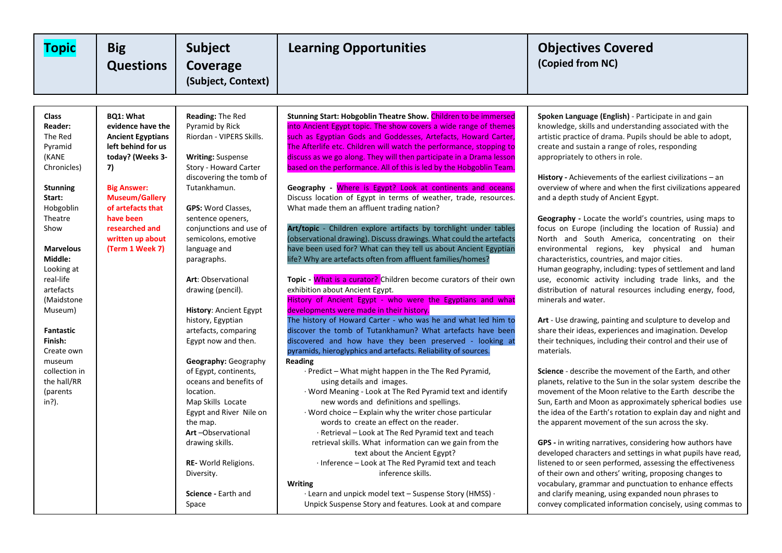| <b>Topic</b>                                                                                                                                                                                                                                                                                                                                           | <b>Big</b><br><b>Questions</b>                                                                                                                                                                                                                              | <b>Subject</b><br>Coverage<br>(Subject, Context)                                                                                                                                                                                                                                                                                                                                                                                                                                                                                                                                                                                                                                                            | <b>Learning Opportunities</b>                                                                                                                                                                                                                                                                                                                                                                                                                                                                                                                                                                                                                                                                                                                                                                                                                                                                                                                                                                                                                                                                                                                                                                                                                                                                                                                                                                                                                                                                                                                                                                                                                                                                                                                                                                                                                                                                                                                                                                                                           | <b>Objectives Covered</b><br>(Copied from NC)                                                                                                                                                                                                                                                                                                                                                                                                                                                                                                                                                                                                                                                                                                                                                                                                                                                                                                                                                                                                                                                                                                                                                                                                                                                                                                                                                                                                                                                                                                                                                                                                                                                                                                                                                                                                                                                      |
|--------------------------------------------------------------------------------------------------------------------------------------------------------------------------------------------------------------------------------------------------------------------------------------------------------------------------------------------------------|-------------------------------------------------------------------------------------------------------------------------------------------------------------------------------------------------------------------------------------------------------------|-------------------------------------------------------------------------------------------------------------------------------------------------------------------------------------------------------------------------------------------------------------------------------------------------------------------------------------------------------------------------------------------------------------------------------------------------------------------------------------------------------------------------------------------------------------------------------------------------------------------------------------------------------------------------------------------------------------|-----------------------------------------------------------------------------------------------------------------------------------------------------------------------------------------------------------------------------------------------------------------------------------------------------------------------------------------------------------------------------------------------------------------------------------------------------------------------------------------------------------------------------------------------------------------------------------------------------------------------------------------------------------------------------------------------------------------------------------------------------------------------------------------------------------------------------------------------------------------------------------------------------------------------------------------------------------------------------------------------------------------------------------------------------------------------------------------------------------------------------------------------------------------------------------------------------------------------------------------------------------------------------------------------------------------------------------------------------------------------------------------------------------------------------------------------------------------------------------------------------------------------------------------------------------------------------------------------------------------------------------------------------------------------------------------------------------------------------------------------------------------------------------------------------------------------------------------------------------------------------------------------------------------------------------------------------------------------------------------------------------------------------------------|----------------------------------------------------------------------------------------------------------------------------------------------------------------------------------------------------------------------------------------------------------------------------------------------------------------------------------------------------------------------------------------------------------------------------------------------------------------------------------------------------------------------------------------------------------------------------------------------------------------------------------------------------------------------------------------------------------------------------------------------------------------------------------------------------------------------------------------------------------------------------------------------------------------------------------------------------------------------------------------------------------------------------------------------------------------------------------------------------------------------------------------------------------------------------------------------------------------------------------------------------------------------------------------------------------------------------------------------------------------------------------------------------------------------------------------------------------------------------------------------------------------------------------------------------------------------------------------------------------------------------------------------------------------------------------------------------------------------------------------------------------------------------------------------------------------------------------------------------------------------------------------------------|
|                                                                                                                                                                                                                                                                                                                                                        |                                                                                                                                                                                                                                                             |                                                                                                                                                                                                                                                                                                                                                                                                                                                                                                                                                                                                                                                                                                             |                                                                                                                                                                                                                                                                                                                                                                                                                                                                                                                                                                                                                                                                                                                                                                                                                                                                                                                                                                                                                                                                                                                                                                                                                                                                                                                                                                                                                                                                                                                                                                                                                                                                                                                                                                                                                                                                                                                                                                                                                                         |                                                                                                                                                                                                                                                                                                                                                                                                                                                                                                                                                                                                                                                                                                                                                                                                                                                                                                                                                                                                                                                                                                                                                                                                                                                                                                                                                                                                                                                                                                                                                                                                                                                                                                                                                                                                                                                                                                    |
| <b>Class</b><br><b>Reader:</b><br>The Red<br>Pyramid<br>(KANE<br>Chronicles)<br><b>Stunning</b><br>Start:<br>Hobgoblin<br>Theatre<br>Show<br><b>Marvelous</b><br>Middle:<br>Looking at<br>real-life<br>artefacts<br>(Maidstone)<br>Museum)<br><b>Fantastic</b><br>Finish:<br>Create own<br>museum<br>collection in<br>the hall/RR<br>(parents<br>in?). | <b>BQ1: What</b><br>evidence have the<br><b>Ancient Egyptians</b><br>left behind for us<br>today? (Weeks 3-<br>7)<br><b>Big Answer:</b><br><b>Museum/Gallery</b><br>of artefacts that<br>have been<br>researched and<br>written up about<br>(Term 1 Week 7) | Reading: The Red<br>Pyramid by Rick<br>Riordan - VIPERS Skills.<br><b>Writing: Suspense</b><br>Story - Howard Carter<br>discovering the tomb of<br>Tutankhamun.<br><b>GPS: Word Classes,</b><br>sentence openers,<br>conjunctions and use of<br>semicolons, emotive<br>language and<br>paragraphs.<br>Art: Observational<br>drawing (pencil).<br><b>History: Ancient Egypt</b><br>history, Egyptian<br>artefacts, comparing<br>Egypt now and then.<br>Geography: Geography<br>of Egypt, continents,<br>oceans and benefits of<br>location.<br>Map Skills Locate<br>Egypt and River Nile on<br>the map.<br>Art-Observational<br>drawing skills.<br>RE- World Religions.<br>Diversity.<br>Science - Earth and | Stunning Start: Hobgoblin Theatre Show. Children to be immersed<br>into Ancient Egypt topic. The show covers a wide range of themes<br>such as Egyptian Gods and Goddesses, Artefacts, Howard Carter,<br>The Afterlife etc. Children will watch the performance, stopping to<br>discuss as we go along. They will then participate in a Drama lesson<br>based on the performance. All of this is led by the Hobgoblin Team.<br>Geography - Where is Egypt? Look at continents and oceans.<br>Discuss location of Egypt in terms of weather, trade, resources.<br>What made them an affluent trading nation?<br>Art/topic - Children explore artifacts by torchlight under tables<br>(observational drawing). Discuss drawings. What could the artefacts<br>have been used for? What can they tell us about Ancient Egyptian<br>life? Why are artefacts often from affluent families/homes?<br>Topic - What is a curator? Children become curators of their own<br>exhibition about Ancient Egypt.<br>History of Ancient Egypt - who were the Egyptians and what<br>developments were made in their history.<br>The history of Howard Carter - who was he and what led him to<br>discover the tomb of Tutankhamun? What artefacts have been<br>discovered and how have they been preserved - looking at<br>pyramids, hieroglyphics and artefacts. Reliability of sources.<br><b>Reading</b><br>$\cdot$ Predict – What might happen in the The Red Pyramid,<br>using details and images.<br>· Word Meaning - Look at The Red Pyramid text and identify<br>new words and definitions and spellings.<br>$\cdot$ Word choice – Explain why the writer chose particular<br>words to create an effect on the reader.<br>· Retrieval – Look at The Red Pyramid text and teach<br>retrieval skills. What information can we gain from the<br>text about the Ancient Egypt?<br>· Inference – Look at The Red Pyramid text and teach<br>inference skills.<br><b>Writing</b><br>$\cdot$ Learn and unpick model text – Suspense Story (HMSS) $\cdot$ | Spoken Language (English) - Participate in and gain<br>knowledge, skills and understanding associated with the<br>artistic practice of drama. Pupils should be able to adopt,<br>create and sustain a range of roles, responding<br>appropriately to others in role.<br><b>History</b> - Achievements of the earliest civilizations $-$ an<br>overview of where and when the first civilizations appeared<br>and a depth study of Ancient Egypt.<br><b>Geography</b> - Locate the world's countries, using maps to<br>focus on Europe (including the location of Russia) and<br>North and South America, concentrating on their<br>environmental regions, key physical and human<br>characteristics, countries, and major cities.<br>Human geography, including: types of settlement and land<br>use, economic activity including trade links, and the<br>distribution of natural resources including energy, food,<br>minerals and water.<br>Art - Use drawing, painting and sculpture to develop and<br>share their ideas, experiences and imagination. Develop<br>their techniques, including their control and their use of<br>materials.<br><b>Science</b> - describe the movement of the Earth, and other<br>planets, relative to the Sun in the solar system describe the<br>movement of the Moon relative to the Earth describe the<br>Sun, Earth and Moon as approximately spherical bodies use<br>the idea of the Earth's rotation to explain day and night and<br>the apparent movement of the sun across the sky.<br>GPS - in writing narratives, considering how authors have<br>developed characters and settings in what pupils have read,<br>listened to or seen performed, assessing the effectiveness<br>of their own and others' writing, proposing changes to<br>vocabulary, grammar and punctuation to enhance effects<br>and clarify meaning, using expanded noun phrases to |
|                                                                                                                                                                                                                                                                                                                                                        |                                                                                                                                                                                                                                                             | Space                                                                                                                                                                                                                                                                                                                                                                                                                                                                                                                                                                                                                                                                                                       | Unpick Suspense Story and features. Look at and compare                                                                                                                                                                                                                                                                                                                                                                                                                                                                                                                                                                                                                                                                                                                                                                                                                                                                                                                                                                                                                                                                                                                                                                                                                                                                                                                                                                                                                                                                                                                                                                                                                                                                                                                                                                                                                                                                                                                                                                                 | convey complicated information concisely, using commas to                                                                                                                                                                                                                                                                                                                                                                                                                                                                                                                                                                                                                                                                                                                                                                                                                                                                                                                                                                                                                                                                                                                                                                                                                                                                                                                                                                                                                                                                                                                                                                                                                                                                                                                                                                                                                                          |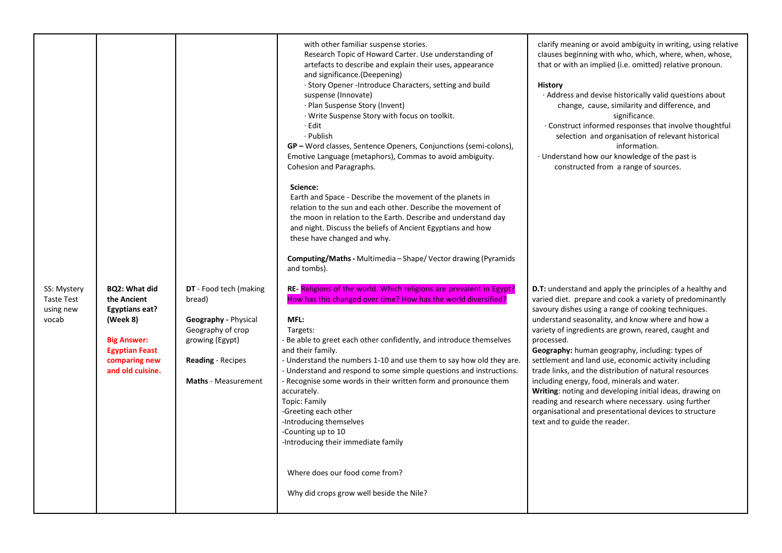|                                                        |                                                                                                                                                       |                                                                                                                                                            | with other familiar suspense stories.<br>Research Topic of Howard Carter. Use understanding of<br>artefacts to describe and explain their uses, appearance<br>and significance. (Deepening)<br>· Story Opener - Introduce Characters, setting and build<br>suspense (Innovate)<br>· Plan Suspense Story (Invent)<br>· Write Suspense Story with focus on toolkit.<br>· Edit<br>· Publish<br>GP – Word classes, Sentence Openers, Conjunctions (semi-colons),<br>Emotive Language (metaphors), Commas to avoid ambiguity.<br>Cohesion and Paragraphs.                                                                 | clarify meaning or avoid ambiguity in writing, using relative<br>clauses beginning with who, which, where, when, whose,<br>that or with an implied (i.e. omitted) relative pronoun.<br><b>History</b><br>. Address and devise historically valid questions about<br>change, cause, similarity and difference, and<br>significance.<br>. Construct informed responses that involve thoughtful<br>selection and organisation of relevant historical<br>information.<br>Understand how our knowledge of the past is<br>constructed from a range of sources.                                                                                                                                                                                 |
|--------------------------------------------------------|-------------------------------------------------------------------------------------------------------------------------------------------------------|------------------------------------------------------------------------------------------------------------------------------------------------------------|----------------------------------------------------------------------------------------------------------------------------------------------------------------------------------------------------------------------------------------------------------------------------------------------------------------------------------------------------------------------------------------------------------------------------------------------------------------------------------------------------------------------------------------------------------------------------------------------------------------------|------------------------------------------------------------------------------------------------------------------------------------------------------------------------------------------------------------------------------------------------------------------------------------------------------------------------------------------------------------------------------------------------------------------------------------------------------------------------------------------------------------------------------------------------------------------------------------------------------------------------------------------------------------------------------------------------------------------------------------------|
|                                                        |                                                                                                                                                       |                                                                                                                                                            | Science:<br>Earth and Space - Describe the movement of the planets in<br>relation to the sun and each other. Describe the movement of<br>the moon in relation to the Earth. Describe and understand day<br>and night. Discuss the beliefs of Ancient Egyptians and how<br>these have changed and why.<br>Computing/Maths - Multimedia - Shape/Vector drawing (Pyramids<br>and tombs).                                                                                                                                                                                                                                |                                                                                                                                                                                                                                                                                                                                                                                                                                                                                                                                                                                                                                                                                                                                          |
| SS: Mystery<br><b>Taste Test</b><br>using new<br>vocab | <b>BQ2: What did</b><br>the Ancient<br>Egyptians eat?<br>(Week 8)<br><b>Big Answer:</b><br><b>Egyptian Feast</b><br>comparing new<br>and old cuisine. | DT - Food tech (making<br>bread)<br>Geography - Physical<br>Geography of crop<br>growing (Egypt)<br><b>Reading</b> - Recipes<br><b>Maths</b> - Measurement | RE- Religions of the world. Which religions are prevalent in Egypt?<br>How has this changed over time? How has the world diversified?<br>MFL:<br>Targets:<br>Be able to greet each other confidently, and introduce themselves<br>and their family.<br>- Understand the numbers 1-10 and use them to say how old they are.<br>- Understand and respond to some simple questions and instructions.<br>- Recognise some words in their written form and pronounce them<br>accurately.<br>Topic: Family<br>-Greeting each other<br>-Introducing themselves<br>-Counting up to 10<br>-Introducing their immediate family | D.T: understand and apply the principles of a healthy and<br>varied diet. prepare and cook a variety of predominantly<br>savoury dishes using a range of cooking techniques.<br>understand seasonality, and know where and how a<br>variety of ingredients are grown, reared, caught and<br>processed.<br>Geography: human geography, including: types of<br>settlement and land use, economic activity including<br>trade links, and the distribution of natural resources<br>including energy, food, minerals and water.<br>Writing: noting and developing initial ideas, drawing on<br>reading and research where necessary. using further<br>organisational and presentational devices to structure<br>text and to guide the reader. |
|                                                        |                                                                                                                                                       |                                                                                                                                                            | Where does our food come from?<br>Why did crops grow well beside the Nile?                                                                                                                                                                                                                                                                                                                                                                                                                                                                                                                                           |                                                                                                                                                                                                                                                                                                                                                                                                                                                                                                                                                                                                                                                                                                                                          |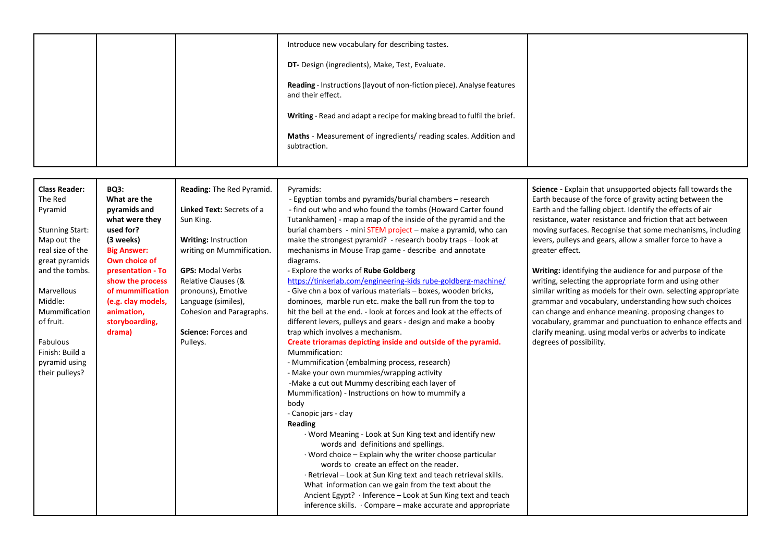|  | Introduce new vocabulary for describing tastes.                                             |  |
|--|---------------------------------------------------------------------------------------------|--|
|  | DT- Design (ingredients), Make, Test, Evaluate.                                             |  |
|  | Reading - Instructions (layout of non-fiction piece). Analyse features<br>and their effect. |  |
|  | Writing - Read and adapt a recipe for making bread to fulfil the brief.                     |  |
|  | Maths - Measurement of ingredients/ reading scales. Addition and<br>subtraction.            |  |

| <b>Class Reader:</b><br><b>BQ3:</b><br>The Red<br>What are the<br>pyramids and<br>Pyramid<br>what were they<br>used for?<br><b>Stunning Start:</b><br>Map out the<br>(3 weeks)<br>real size of the<br><b>Big Answer:</b><br>Own choice of                                              | Reading: The Red Pyramid.<br>Linked Text: Secrets of a<br>Sun King.<br><b>Writing: Instruction</b><br>writing on Mummification.                            | Pyramids:<br>- Egyptian tombs and pyramids/burial chambers - research<br>- find out who and who found the tombs (Howard Carter found<br>Tutankhamen) - map a map of the inside of the pyramid and the<br>burial chambers - mini STEM project - make a pyramid, who can<br>make the strongest pyramid? - research booby traps - look at<br>mechanisms in Mouse Trap game - describe and annotate                                                                                                                                                                                                                                                                                                                                                                                                                                                                                                                                                                                                                                                                                                                                                                                                                                                      | Science - Explain that unsupported objects fall towards the<br>Earth because of the force of gravity acting between the<br>Earth and the falling object. Identify the effects of air<br>resistance, water resistance and friction that act between<br>moving surfaces. Recognise that some mechanisms, including<br>levers, pulleys and gears, allow a smaller force to have a<br>greater effect.                                                             |
|----------------------------------------------------------------------------------------------------------------------------------------------------------------------------------------------------------------------------------------------------------------------------------------|------------------------------------------------------------------------------------------------------------------------------------------------------------|------------------------------------------------------------------------------------------------------------------------------------------------------------------------------------------------------------------------------------------------------------------------------------------------------------------------------------------------------------------------------------------------------------------------------------------------------------------------------------------------------------------------------------------------------------------------------------------------------------------------------------------------------------------------------------------------------------------------------------------------------------------------------------------------------------------------------------------------------------------------------------------------------------------------------------------------------------------------------------------------------------------------------------------------------------------------------------------------------------------------------------------------------------------------------------------------------------------------------------------------------|---------------------------------------------------------------------------------------------------------------------------------------------------------------------------------------------------------------------------------------------------------------------------------------------------------------------------------------------------------------------------------------------------------------------------------------------------------------|
| great pyramids<br>and the tombs.<br>presentation - To<br>show the process<br>of mummification<br>Marvellous<br>Middle:<br>(e.g. clay models,<br>Mummification<br>animation,<br>of fruit.<br>storyboarding,<br>drama)<br>Fabulous<br>Finish: Build a<br>pyramid using<br>their pulleys? | <b>GPS: Modal Verbs</b><br>Relative Clauses (&<br>pronouns), Emotive<br>Language (similes),<br>Cohesion and Paragraphs.<br>Science: Forces and<br>Pulleys. | diagrams.<br>- Explore the works of Rube Goldberg<br>https://tinkerlab.com/engineering-kids rube-goldberg-machine/<br>- Give chn a box of various materials - boxes, wooden bricks,<br>dominoes, marble run etc. make the ball run from the top to<br>hit the bell at the end. - look at forces and look at the effects of<br>different levers, pulleys and gears - design and make a booby<br>trap which involves a mechanism.<br>Create trioramas depicting inside and outside of the pyramid.<br>Mummification:<br>- Mummification (embalming process, research)<br>- Make your own mummies/wrapping activity<br>-Make a cut out Mummy describing each layer of<br>Mummification) - Instructions on how to mummify a<br>body<br>- Canopic jars - clay<br>Reading<br>· Word Meaning - Look at Sun King text and identify new<br>words and definitions and spellings.<br>$\cdot$ Word choice – Explain why the writer choose particular<br>words to create an effect on the reader.<br>· Retrieval - Look at Sun King text and teach retrieval skills.<br>What information can we gain from the text about the<br>Ancient Egypt? · Inference - Look at Sun King text and teach<br>inference skills. $\cdot$ Compare – make accurate and appropriate | Writing: identifying the audience for and purpose of the<br>writing, selecting the appropriate form and using other<br>similar writing as models for their own. selecting appropriate<br>grammar and vocabulary, understanding how such choices<br>can change and enhance meaning. proposing changes to<br>vocabulary, grammar and punctuation to enhance effects and<br>clarify meaning. using modal verbs or adverbs to indicate<br>degrees of possibility. |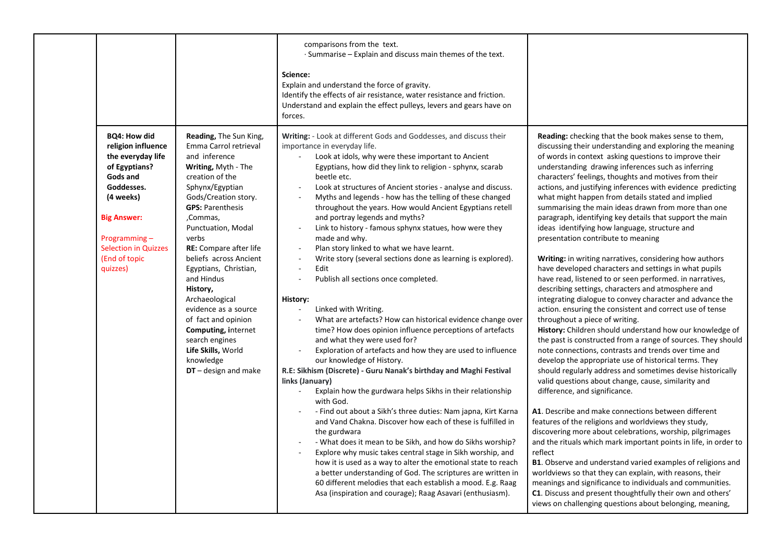|                                                                                                                                                                                                                             |                                                                                                                                                                                                                                                                                                                                                                                                                                                                                                                  | comparisons from the text.<br>$\cdot$ Summarise – Explain and discuss main themes of the text.<br>Science:<br>Explain and understand the force of gravity.<br>Identify the effects of air resistance, water resistance and friction.<br>Understand and explain the effect pulleys, levers and gears have on<br>forces.                                                                                                                                                                                                                                                                                                                                                                                                                                                                                                                                                                                                                                                                                                                                                                                                                                                                                                                                                                                                                                                                                                                                                                                                                                                                                                                                                                                                                                           |                                                                                                                                                                                                                                                                                                                                                                                                                                                                                                                                                                                                                                                                                                                                                                                                                                                                                                                                                                                                                                                                                                                                                                                                                                                                                                                                                                                                                                                                                                                                                                                                                                                                                                                                                                                                                                                                                                                                                                                                                       |
|-----------------------------------------------------------------------------------------------------------------------------------------------------------------------------------------------------------------------------|------------------------------------------------------------------------------------------------------------------------------------------------------------------------------------------------------------------------------------------------------------------------------------------------------------------------------------------------------------------------------------------------------------------------------------------------------------------------------------------------------------------|------------------------------------------------------------------------------------------------------------------------------------------------------------------------------------------------------------------------------------------------------------------------------------------------------------------------------------------------------------------------------------------------------------------------------------------------------------------------------------------------------------------------------------------------------------------------------------------------------------------------------------------------------------------------------------------------------------------------------------------------------------------------------------------------------------------------------------------------------------------------------------------------------------------------------------------------------------------------------------------------------------------------------------------------------------------------------------------------------------------------------------------------------------------------------------------------------------------------------------------------------------------------------------------------------------------------------------------------------------------------------------------------------------------------------------------------------------------------------------------------------------------------------------------------------------------------------------------------------------------------------------------------------------------------------------------------------------------------------------------------------------------|-----------------------------------------------------------------------------------------------------------------------------------------------------------------------------------------------------------------------------------------------------------------------------------------------------------------------------------------------------------------------------------------------------------------------------------------------------------------------------------------------------------------------------------------------------------------------------------------------------------------------------------------------------------------------------------------------------------------------------------------------------------------------------------------------------------------------------------------------------------------------------------------------------------------------------------------------------------------------------------------------------------------------------------------------------------------------------------------------------------------------------------------------------------------------------------------------------------------------------------------------------------------------------------------------------------------------------------------------------------------------------------------------------------------------------------------------------------------------------------------------------------------------------------------------------------------------------------------------------------------------------------------------------------------------------------------------------------------------------------------------------------------------------------------------------------------------------------------------------------------------------------------------------------------------------------------------------------------------------------------------------------------------|
| <b>BQ4: How did</b><br>religion influence<br>the everyday life<br>of Egyptians?<br>Gods and<br>Goddesses.<br>(4 weeks)<br><b>Big Answer:</b><br>Programming $-$<br><b>Selection in Quizzes</b><br>(End of topic<br>quizzes) | Reading, The Sun King,<br>Emma Carrol retrieval<br>and inference<br>Writing, Myth - The<br>creation of the<br>Sphynx/Egyptian<br>Gods/Creation story.<br><b>GPS: Parenthesis</b><br>,Commas,<br>Punctuation, Modal<br>verbs<br>RE: Compare after life<br>beliefs across Ancient<br>Egyptians, Christian,<br>and Hindus<br>History,<br>Archaeological<br>evidence as a source<br>of fact and opinion<br><b>Computing, internet</b><br>search engines<br>Life Skills, World<br>knowledge<br>$DT$ – design and make | Writing: - Look at different Gods and Goddesses, and discuss their<br>importance in everyday life.<br>Look at idols, why were these important to Ancient<br>Egyptians, how did they link to religion - sphynx, scarab<br>beetle etc.<br>Look at structures of Ancient stories - analyse and discuss.<br>Myths and legends - how has the telling of these changed<br>$\overline{\phantom{a}}$<br>throughout the years. How would Ancient Egyptians retell<br>and portray legends and myths?<br>Link to history - famous sphynx statues, how were they<br>made and why.<br>Plan story linked to what we have learnt.<br>$\sim$<br>Write story (several sections done as learning is explored).<br>Edit<br>$\omega$<br>Publish all sections once completed.<br>History:<br>Linked with Writing.<br>What are artefacts? How can historical evidence change over<br>time? How does opinion influence perceptions of artefacts<br>and what they were used for?<br>Exploration of artefacts and how they are used to influence<br>our knowledge of History.<br>R.E: Sikhism (Discrete) - Guru Nanak's birthday and Maghi Festival<br>links (January)<br>Explain how the gurdwara helps Sikhs in their relationship<br>with God.<br>- Find out about a Sikh's three duties: Nam japna, Kirt Karna<br>and Vand Chakna. Discover how each of these is fulfilled in<br>the gurdwara<br>- What does it mean to be Sikh, and how do Sikhs worship?<br>Explore why music takes central stage in Sikh worship, and<br>how it is used as a way to alter the emotional state to reach<br>a better understanding of God. The scriptures are written in<br>60 different melodies that each establish a mood. E.g. Raag<br>Asa (inspiration and courage); Raag Asavari (enthusiasm). | <b>Reading:</b> checking that the book makes sense to them,<br>discussing their understanding and exploring the meaning<br>of words in context asking questions to improve their<br>understanding drawing inferences such as inferring<br>characters' feelings, thoughts and motives from their<br>actions, and justifying inferences with evidence predicting<br>what might happen from details stated and implied<br>summarising the main ideas drawn from more than one<br>paragraph, identifying key details that support the main<br>ideas identifying how language, structure and<br>presentation contribute to meaning<br>Writing: in writing narratives, considering how authors<br>have developed characters and settings in what pupils<br>have read, listened to or seen performed. in narratives,<br>describing settings, characters and atmosphere and<br>integrating dialogue to convey character and advance the<br>action. ensuring the consistent and correct use of tense<br>throughout a piece of writing.<br>History: Children should understand how our knowledge of<br>the past is constructed from a range of sources. They should<br>note connections, contrasts and trends over time and<br>develop the appropriate use of historical terms. They<br>should regularly address and sometimes devise historically<br>valid questions about change, cause, similarity and<br>difference, and significance.<br>A1. Describe and make connections between different<br>features of the religions and worldviews they study,<br>discovering more about celebrations, worship, pilgrimages<br>and the rituals which mark important points in life, in order to<br>reflect<br><b>B1</b> . Observe and understand varied examples of religions and<br>worldviews so that they can explain, with reasons, their<br>meanings and significance to individuals and communities.<br>C1. Discuss and present thoughtfully their own and others'<br>views on challenging questions about belonging, meaning, |